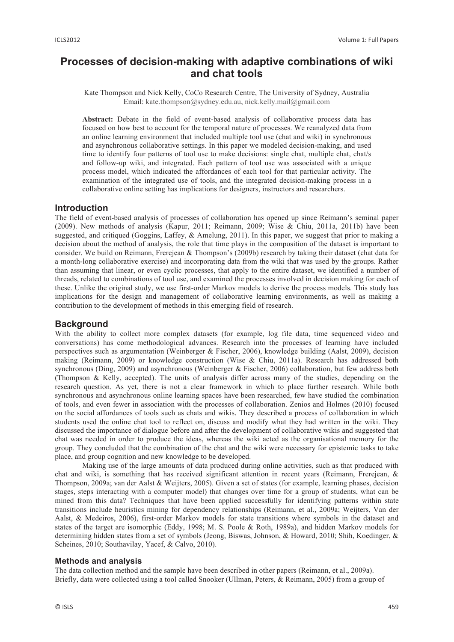# **Processes of decision-making with adaptive combinations of wiki and chat tools**

### Kate Thompson and Nick Kelly, CoCo Research Centre, The University of Sydney, Australia Email: kate.thompson@sydney.edu.au, nick.kelly.mail@gmail.com

**Abstract:** Debate in the field of event-based analysis of collaborative process data has focused on how best to account for the temporal nature of processes. We reanalyzed data from an online learning environment that included multiple tool use (chat and wiki) in synchronous and asynchronous collaborative settings. In this paper we modeled decision-making, and used time to identify four patterns of tool use to make decisions: single chat, multiple chat, chat/s and follow-up wiki, and integrated. Each pattern of tool use was associated with a unique process model, which indicated the affordances of each tool for that particular activity. The examination of the integrated use of tools, and the integrated decision-making process in a collaborative online setting has implications for designers, instructors and researchers.

# **Introduction**

The field of event-based analysis of processes of collaboration has opened up since Reimann's seminal paper (2009). New methods of analysis (Kapur, 2011; Reimann, 2009; Wise & Chiu, 2011a, 2011b) have been suggested, and critiqued (Goggins, Laffey, & Amelung, 2011). In this paper, we suggest that prior to making a decision about the method of analysis, the role that time plays in the composition of the dataset is important to consider. We build on Reimann, Frerejean & Thompson's (2009b) research by taking their dataset (chat data for a month-long collaborative exercise) and incorporating data from the wiki that was used by the groups. Rather than assuming that linear, or even cyclic processes, that apply to the entire dataset, we identified a number of threads, related to combinations of tool use, and examined the processes involved in decision making for each of these. Unlike the original study, we use first-order Markov models to derive the process models. This study has implications for the design and management of collaborative learning environments, as well as making a contribution to the development of methods in this emerging field of research.

# **Background**

With the ability to collect more complex datasets (for example, log file data, time sequenced video and conversations) has come methodological advances. Research into the processes of learning have included perspectives such as argumentation (Weinberger & Fischer, 2006), knowledge building (Aalst, 2009), decision making (Reimann, 2009) or knowledge construction (Wise & Chiu, 2011a). Research has addressed both synchronous (Ding, 2009) and asynchronous (Weinberger & Fischer, 2006) collaboration, but few address both (Thompson & Kelly, accepted). The units of analysis differ across many of the studies, depending on the research question. As yet, there is not a clear framework in which to place further research. While both synchronous and asynchronous online learning spaces have been researched, few have studied the combination of tools, and even fewer in association with the processes of collaboration. Zenios and Holmes (2010) focused on the social affordances of tools such as chats and wikis. They described a process of collaboration in which students used the online chat tool to reflect on, discuss and modify what they had written in the wiki. They discussed the importance of dialogue before and after the development of collaborative wikis and suggested that chat was needed in order to produce the ideas, whereas the wiki acted as the organisational memory for the group. They concluded that the combination of the chat and the wiki were necessary for epistemic tasks to take place, and group cognition and new knowledge to be developed.

Making use of the large amounts of data produced during online activities, such as that produced with chat and wiki, is something that has received significant attention in recent years (Reimann, Frerejean, & Thompson, 2009a; van der Aalst & Weijters, 2005). Given a set of states (for example, learning phases, decision stages, steps interacting with a computer model) that changes over time for a group of students, what can be mined from this data? Techniques that have been applied successfully for identifying patterns within state transitions include heuristics mining for dependency relationships (Reimann, et al., 2009a; Weijters, Van der Aalst, & Medeiros, 2006), first-order Markov models for state transitions where symbols in the dataset and states of the target are isomorphic (Eddy, 1998; M. S. Poole & Roth, 1989a), and hidden Markov models for determining hidden states from a set of symbols (Jeong, Biswas, Johnson, & Howard, 2010; Shih, Koedinger, & Scheines, 2010; Southavilay, Yacef, & Calvo, 2010).

#### **Methods and analysis**

The data collection method and the sample have been described in other papers (Reimann, et al., 2009a). Briefly, data were collected using a tool called Snooker (Ullman, Peters, & Reimann, 2005) from a group of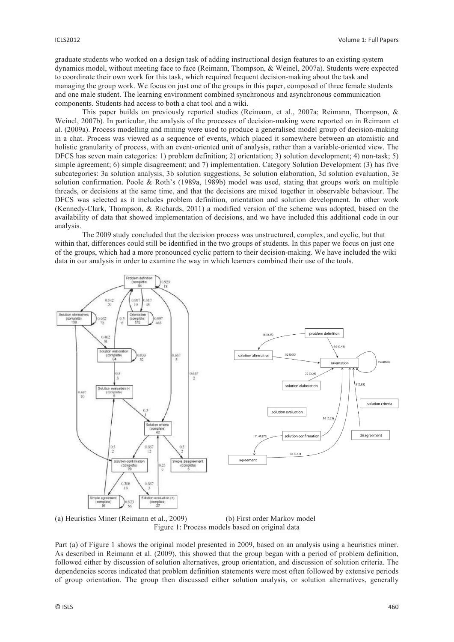graduate students who worked on a design task of adding instructional design features to an existing system dynamics model, without meeting face to face (Reimann, Thompson, & Weinel, 2007a). Students were expected to coordinate their own work for this task, which required frequent decision-making about the task and managing the group work. We focus on just one of the groups in this paper, composed of three female students and one male student. The learning environment combined synchronous and asynchronous communication components. Students had access to both a chat tool and a wiki.

This paper builds on previously reported studies (Reimann, et al., 2007a; Reimann, Thompson, & Weinel, 2007b). In particular, the analysis of the processes of decision-making were reported on in Reimann et al. (2009a). Process modelling and mining were used to produce a generalised model group of decision-making in a chat. Process was viewed as a sequence of events, which placed it somewhere between an atomistic and holistic granularity of process, with an event-oriented unit of analysis, rather than a variable-oriented view. The DFCS has seven main categories: 1) problem definition; 2) orientation; 3) solution development; 4) non-task; 5) simple agreement; 6) simple disagreement; and 7) implementation. Category Solution Development (3) has five subcategories: 3a solution analysis, 3b solution suggestions, 3c solution elaboration, 3d solution evaluation, 3e solution confirmation. Poole & Roth's (1989a, 1989b) model was used, stating that groups work on multiple threads, or decisions at the same time, and that the decisions are mixed together in observable behaviour. The DFCS was selected as it includes problem definition, orientation and solution development. In other work (Kennedy-Clark, Thompson, & Richards, 2011) a modified version of the scheme was adopted, based on the availability of data that showed implementation of decisions, and we have included this additional code in our analysis.

The 2009 study concluded that the decision process was unstructured, complex, and cyclic, but that within that, differences could still be identified in the two groups of students. In this paper we focus on just one of the groups, which had a more pronounced cyclic pattern to their decision-making. We have included the wiki data in our analysis in order to examine the way in which learners combined their use of the tools.



(a) Heuristics Miner (Reimann et al., 2009) (b) First order Markov model Figure 1: Process models based on original data

Part (a) of Figure 1 shows the original model presented in 2009, based on an analysis using a heuristics miner. As described in Reimann et al. (2009), this showed that the group began with a period of problem definition, followed either by discussion of solution alternatives, group orientation, and discussion of solution criteria. The dependencies scores indicated that problem definition statements were most often followed by extensive periods of group orientation. The group then discussed either solution analysis, or solution alternatives, generally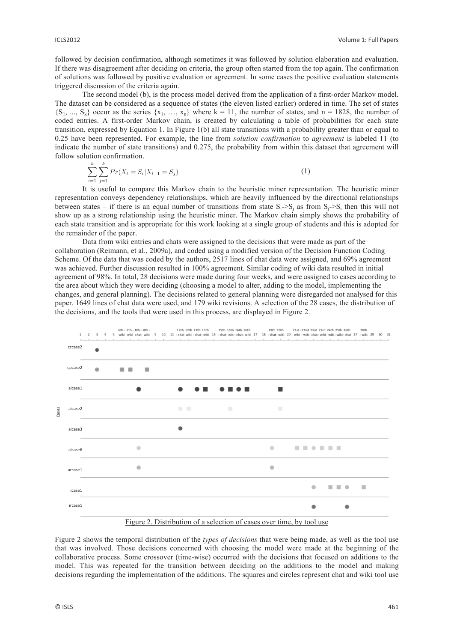followed by decision confirmation, although sometimes it was followed by solution elaboration and evaluation. If there was disagreement after deciding on criteria, the group often started from the top again. The confirmation of solutions was followed by positive evaluation or agreement. In some cases the positive evaluation statements triggered discussion of the criteria again.

The second model (b), is the process model derived from the application of a first-order Markov model. The dataset can be considered as a sequence of states (the eleven listed earlier) ordered in time. The set of states  ${S_1, ..., S_k}$  occur as the series  ${x_1, ..., x_n}$  where  $k = 11$ , the number of states, and n = 1828, the number of coded entries. A first-order Markov chain, is created by calculating a table of probabilities for each state transition, expressed by Equation 1. In Figure 1(b) all state transitions with a probability greater than or equal to 0.25 have been represented. For example, the line from *solution confirmation* to *agreement* is labeled 11 (to indicate the number of state transitions) and 0.275, the probability from within this dataset that agreement will follow solution confirmation.

$$
\sum_{i=1}^{k} \sum_{j=1}^{k} Pr(X_t = S_i | X_{t-1} = S_j)
$$
\n(1)

It is useful to compare this Markov chain to the heuristic miner representation. The heuristic miner representation conveys dependency relationships, which are heavily influenced by the directional relationships between states – if there is an equal number of transitions from state  $S_i$ -> $S_j$  as from  $S_j$ -> $S_i$  then this will not show up as a strong relationship using the heuristic miner. The Markov chain simply shows the probability of each state transition and is appropriate for this work looking at a single group of students and this is adopted for the remainder of the paper.

Data from wiki entries and chats were assigned to the decisions that were made as part of the collaboration (Reimann, et al., 2009a), and coded using a modified version of the Decision Function Coding Scheme. Of the data that was coded by the authors, 2517 lines of chat data were assigned, and 69% agreement was achieved. Further discussion resulted in 100% agreement. Similar coding of wiki data resulted in initial agreement of 98%. In total, 28 decisions were made during four weeks, and were assigned to cases according to the area about which they were deciding (choosing a model to alter, adding to the model, implementing the changes, and general planning). The decisions related to general planning were disregarded not analysed for this paper. 1649 lines of chat data were used, and 179 wiki revisions. A selection of the 28 cases, the distribution of the decisions, and the tools that were used in this process, are displayed in Figure 2.



Figure 2. Distribution of a selection of cases over time, by tool use

Figure 2 shows the temporal distribution of the *types of decisions* that were being made, as well as the tool use that was involved. Those decisions concerned with choosing the model were made at the beginning of the collaborative process. Some crossover (time-wise) occurred with the decisions that focused on additions to the model. This was repeated for the transition between deciding on the additions to the model and making decisions regarding the implementation of the additions. The squares and circles represent chat and wiki tool use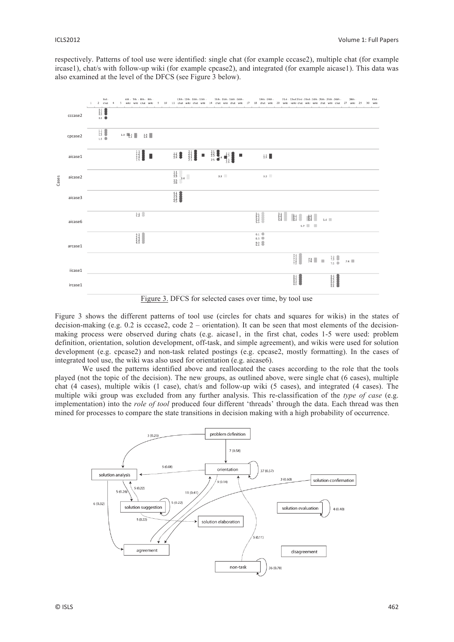respectively. Patterns of tool use were identified: single chat (for example cccase2), multiple chat (for example ircase1), chat/s with follow-up wiki (for example cpcase2), and integrated (for example aicase1). This data was also examined at the level of the DFCS (see Figure 3 below).



Figure 3. DFCS for selected cases over time, by tool use

Figure 3 shows the different patterns of tool use (circles for chats and squares for wikis) in the states of decision-making (e.g. 0.2 is cccase2, code  $2$  – orientation). It can be seen that most elements of the decisionmaking process were observed during chats (e.g. aicase1, in the first chat, codes 1-5 were used: problem definition, orientation, solution development, off-task, and simple agreement), and wikis were used for solution development (e.g. cpcase2) and non-task related postings (e.g. cpcase2, mostly formatting). In the cases of integrated tool use, the wiki was also used for orientation (e.g. aicase6).

We used the patterns identified above and reallocated the cases according to the role that the tools played (not the topic of the decision). The new groups, as outlined above, were single chat (6 cases), multiple chat (4 cases), multiple wikis (1 case), chat/s and follow-up wiki (5 cases), and integrated (4 cases). The multiple wiki group was excluded from any further analysis. This re-classification of the *type of case* (e.g. implementation) into the *role of tool* produced four different 'threads' through the data. Each thread was then mined for processes to compare the state transitions in decision making with a high probability of occurrence.

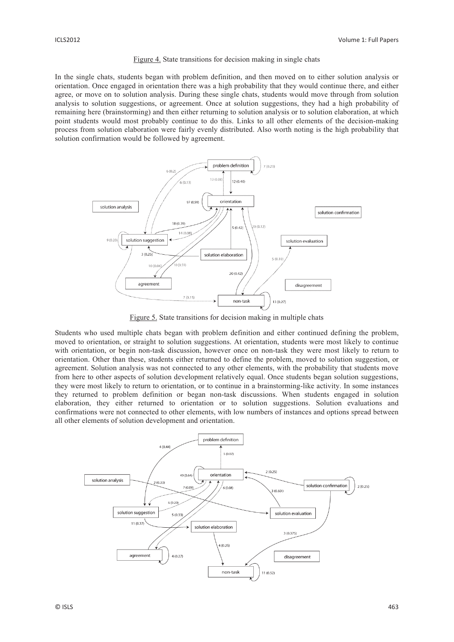#### Figure 4. State transitions for decision making in single chats

In the single chats, students began with problem definition, and then moved on to either solution analysis or orientation. Once engaged in orientation there was a high probability that they would continue there, and either agree, or move on to solution analysis. During these single chats, students would move through from solution analysis to solution suggestions, or agreement. Once at solution suggestions, they had a high probability of remaining here (brainstorming) and then either returning to solution analysis or to solution elaboration, at which point students would most probably continue to do this. Links to all other elements of the decision-making process from solution elaboration were fairly evenly distributed. Also worth noting is the high probability that solution confirmation would be followed by agreement.



Figure 5. State transitions for decision making in multiple chats

Students who used multiple chats began with problem definition and either continued defining the problem, moved to orientation, or straight to solution suggestions. At orientation, students were most likely to continue with orientation, or begin non-task discussion, however once on non-task they were most likely to return to orientation. Other than these, students either returned to define the problem, moved to solution suggestion, or agreement. Solution analysis was not connected to any other elements, with the probability that students move from here to other aspects of solution development relatively equal. Once students began solution suggestions, they were most likely to return to orientation, or to continue in a brainstorming-like activity. In some instances they returned to problem definition or began non-task discussions. When students engaged in solution elaboration, they either returned to orientation or to solution suggestions. Solution evaluations and confirmations were not connected to other elements, with low numbers of instances and options spread between all other elements of solution development and orientation.

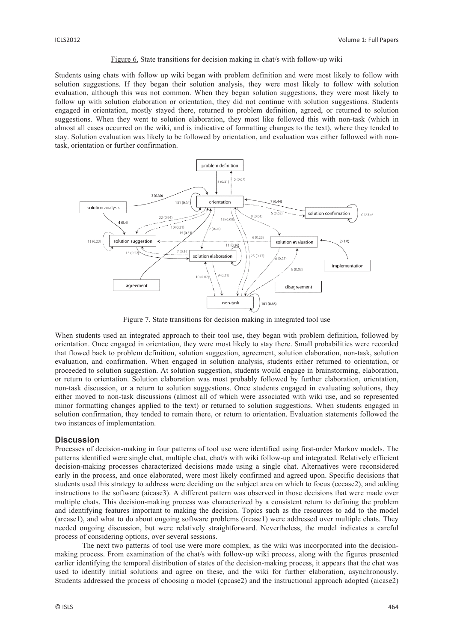#### Figure 6. State transitions for decision making in chat/s with follow-up wiki

Students using chats with follow up wiki began with problem definition and were most likely to follow with solution suggestions. If they began their solution analysis, they were most likely to follow with solution evaluation, although this was not common. When they began solution suggestions, they were most likely to follow up with solution elaboration or orientation, they did not continue with solution suggestions. Students engaged in orientation, mostly stayed there, returned to problem definition, agreed, or returned to solution suggestions. When they went to solution elaboration, they most like followed this with non-task (which in almost all cases occurred on the wiki, and is indicative of formatting changes to the text), where they tended to stay. Solution evaluation was likely to be followed by orientation, and evaluation was either followed with nontask, orientation or further confirmation.



Figure 7. State transitions for decision making in integrated tool use

When students used an integrated approach to their tool use, they began with problem definition, followed by orientation. Once engaged in orientation, they were most likely to stay there. Small probabilities were recorded that flowed back to problem definition, solution suggestion, agreement, solution elaboration, non-task, solution evaluation, and confirmation. When engaged in solution analysis, students either returned to orientation, or proceeded to solution suggestion. At solution suggestion, students would engage in brainstorming, elaboration, or return to orientation. Solution elaboration was most probably followed by further elaboration, orientation, non-task discussion, or a return to solution suggestions. Once students engaged in evaluating solutions, they either moved to non-task discussions (almost all of which were associated with wiki use, and so represented minor formatting changes applied to the text) or returned to solution suggestions. When students engaged in solution confirmation, they tended to remain there, or return to orientation. Evaluation statements followed the two instances of implementation.

## **Discussion**

Processes of decision-making in four patterns of tool use were identified using first-order Markov models. The patterns identified were single chat, multiple chat, chat/s with wiki follow-up and integrated. Relatively efficient decision-making processes characterized decisions made using a single chat. Alternatives were reconsidered early in the process, and once elaborated, were most likely confirmed and agreed upon. Specific decisions that students used this strategy to address were deciding on the subject area on which to focus (cccase2), and adding instructions to the software (aicase3). A different pattern was observed in those decisions that were made over multiple chats. This decision-making process was characterized by a consistent return to defining the problem and identifying features important to making the decision. Topics such as the resources to add to the model (arcase1), and what to do about ongoing software problems (ircase1) were addressed over multiple chats. They needed ongoing discussion, but were relatively straightforward. Nevertheless, the model indicates a careful process of considering options, over several sessions.

The next two patterns of tool use were more complex, as the wiki was incorporated into the decisionmaking process. From examination of the chat/s with follow-up wiki process, along with the figures presented earlier identifying the temporal distribution of states of the decision-making process, it appears that the chat was used to identify initial solutions and agree on these, and the wiki for further elaboration, asynchronously. Students addressed the process of choosing a model (cpcase2) and the instructional approach adopted (aicase2)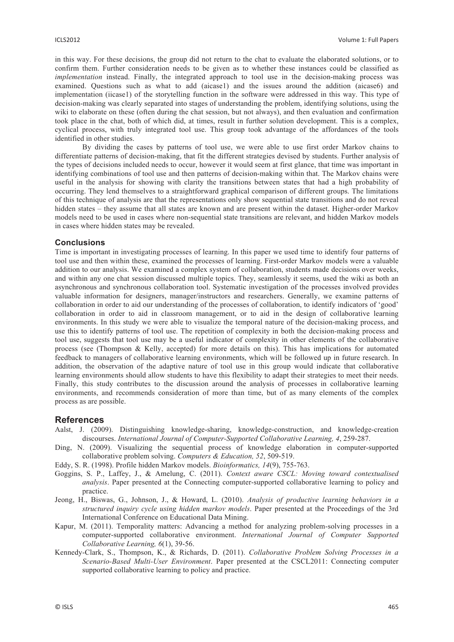in this way. For these decisions, the group did not return to the chat to evaluate the elaborated solutions, or to confirm them. Further consideration needs to be given as to whether these instances could be classified as *implementation* instead. Finally, the integrated approach to tool use in the decision-making process was examined. Questions such as what to add (aicase1) and the issues around the addition (aicase6) and implementation (iicase1) of the storytelling function in the software were addressed in this way. This type of decision-making was clearly separated into stages of understanding the problem, identifying solutions, using the wiki to elaborate on these (often during the chat session, but not always), and then evaluation and confirmation took place in the chat, both of which did, at times, result in further solution development. This is a complex, cyclical process, with truly integrated tool use. This group took advantage of the affordances of the tools identified in other studies.

By dividing the cases by patterns of tool use, we were able to use first order Markov chains to differentiate patterns of decision-making, that fit the different strategies devised by students. Further analysis of the types of decisions included needs to occur, however it would seem at first glance, that time was important in identifying combinations of tool use and then patterns of decision-making within that. The Markov chains were useful in the analysis for showing with clarity the transitions between states that had a high probability of occurring. They lend themselves to a straightforward graphical comparison of different groups. The limitations of this technique of analysis are that the representations only show sequential state transitions and do not reveal hidden states – they assume that all states are known and are present within the dataset. Higher-order Markov models need to be used in cases where non-sequential state transitions are relevant, and hidden Markov models in cases where hidden states may be revealed.

#### **Conclusions**

Time is important in investigating processes of learning. In this paper we used time to identify four patterns of tool use and then within these, examined the processes of learning. First-order Markov models were a valuable addition to our analysis. We examined a complex system of collaboration, students made decisions over weeks, and within any one chat session discussed multiple topics. They, seamlessly it seems, used the wiki as both an asynchronous and synchronous collaboration tool. Systematic investigation of the processes involved provides valuable information for designers, manager/instructors and researchers. Generally, we examine patterns of collaboration in order to aid our understanding of the processes of collaboration, to identify indicators of 'good' collaboration in order to aid in classroom management, or to aid in the design of collaborative learning environments. In this study we were able to visualize the temporal nature of the decision-making process, and use this to identify patterns of tool use. The repetition of complexity in both the decision-making process and tool use, suggests that tool use may be a useful indicator of complexity in other elements of the collaborative process (see (Thompson & Kelly, accepted) for more details on this). This has implications for automated feedback to managers of collaborative learning environments, which will be followed up in future research. In addition, the observation of the adaptive nature of tool use in this group would indicate that collaborative learning environments should allow students to have this flexibility to adapt their strategies to meet their needs. Finally, this study contributes to the discussion around the analysis of processes in collaborative learning environments, and recommends consideration of more than time, but of as many elements of the complex process as are possible.

## **References**

- Aalst, J. (2009). Distinguishing knowledge-sharing, knowledge-construction, and knowledge-creation discourses. *International Journal of Computer-Supported Collaborative Learning, 4*, 259-287.
- Ding, N. (2009). Visualizing the sequential process of knowledge elaboration in computer-supported collaborative problem solving. *Computers & Education, 52*, 509-519.
- Eddy, S. R. (1998). Profile hidden Markov models. *Bioinformatics, 14*(9), 755-763.
- Goggins, S. P., Laffey, J., & Amelung, C. (2011). *Context aware CSCL: Moving toward contextualised analysis*. Paper presented at the Connecting computer-supported collaborative learning to policy and practice.
- Jeong, H., Biswas, G., Johnson, J., & Howard, L. (2010). *Analysis of productive learning behaviors in a structured inquiry cycle using hidden markov models*. Paper presented at the Proceedings of the 3rd International Conference on Educational Data Mining.
- Kapur, M. (2011). Temporality matters: Advancing a method for analyzing problem-solving processes in a computer-supported collaborative environment. *International Journal of Computer Supported Collaborative Learning, 6*(1), 39-56.
- Kennedy-Clark, S., Thompson, K., & Richards, D. (2011). *Collaborative Problem Solving Processes in a Scenario-Based Multi-User Environment*. Paper presented at the CSCL2011: Connecting computer supported collaborative learning to policy and practice.